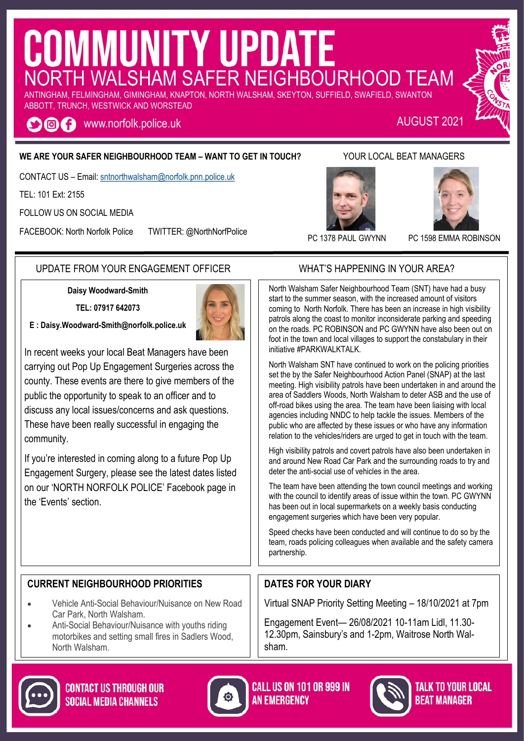# COMMUNITY UPDATE ANTINGHAM, FELMINGHAM, GIMINGHAM, KNAPTON, NORTH WALSHAM, SKEYTON, SUFFIELD, SWAFIELD, SWANTON

ABBOTT, TRUNCH, WESTWICK AND WORSTEAD

www.norfolk.police.uk AUGUST 2021 OOA

#### **WE ARE YOUR SAFER NEIGHBOURHOOD TEAM – WANT TO GET IN TOUCH?** YOUR LOCAL BEAT MANAGERS

CONTACT US – Email: [sntnorthwalsham@norfolk.pnn.police.uk](mailto:sntwells@norfolk.pnn.police.uk)

TEL: 101 Ext: 2155

FOLLOW US ON SOCIAL MEDIA

FACEBOOK: North Norfolk Police TWITTER: @NorthNorfPolice





PC 1378 PAUL GWYNN PC 1598 EMMA ROBINSON

#### UPDATE FROM YOUR ENGAGEMENT OFFICER WHAT'S HAPPENING IN YOUR AREA?

**Daisy Woodward-Smith**

**TEL: 07917 642073**

**E : [Daisy.Woodward-Smith](mailto:Paula.Gilluley@norfolk.pnn.police.uk)@norfolk.police.uk**



If you're interested in coming along to a future Pop Up Engagement Surgery, please see the latest dates listed on our 'NORTH NORFOLK POLICE' Facebook page in the 'Events' section.

North Walsham Safer Neighbourhood Team (SNT) have had a busy start to the summer season, with the increased amount of visitors coming to North Norfolk. There has been an increase in high visibility patrols along the coast to monitor inconsiderate parking and speeding on the roads. PC ROBINSON and PC GWYNN have also been out on foot in the town and local villages to support the constabulary in their initiative #PARKWALKTALK.

North Walsham SNT have continued to work on the policing priorities set the by the Safer Neighbourhood Action Panel (SNAP) at the last meeting. High visibility patrols have been undertaken in and around the area of Saddlers Woods, North Walsham to deter ASB and the use of off-road bikes using the area. The team have been liaising with local agencies including NNDC to help tackle the issues. Members of the public who are affected by these issues or who have any information relation to the vehicles/riders are urged to get in touch with the team.

High visibility patrols and covert patrols have also been undertaken in and around New Road Car Park and the surrounding roads to try and deter the anti-social use of vehicles in the area.

The team have been attending the town council meetings and working with the council to identify areas of issue within the town. PC GWYNN has been out in local supermarkets on a weekly basis conducting engagement surgeries which have been very popular.

Speed checks have been conducted and will continue to do so by the team, roads policing colleagues when available and the safety camera partnership.

#### **CURRENT NEIGHBOURHOOD PRIORITIES**

- Vehicle Anti-Social Behaviour/Nuisance on New Road Car Park, North Walsham.
- Anti-Social Behaviour/Nuisance with youths riding motorbikes and setting small fires in Sadlers Wood, North Walsham.

### **DATES FOR YOUR DIARY**

Virtual SNAP Priority Setting Meeting – 18/10/2021 at 7pm

Engagement Event— 26/08/2021 10-11am Lidl, 11.30- 12.30pm, Sainsbury's and 1-2pm, Waitrose North Walsham.







TALK TO YOUR LOCAL *REAT MANAGER*